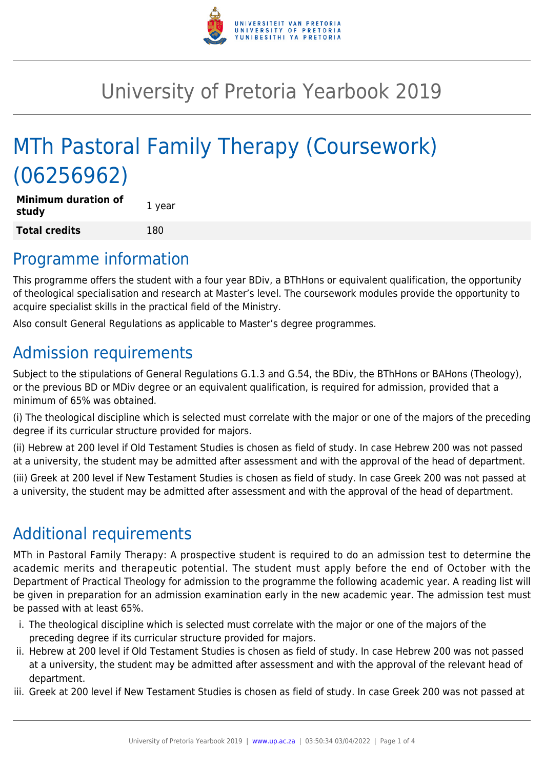

## University of Pretoria Yearbook 2019

# MTh Pastoral Family Therapy (Coursework) (06256962)

| <b>Minimum duration of</b><br>study | 1 year |
|-------------------------------------|--------|
| <b>Total credits</b>                | 180    |

### Programme information

This programme offers the student with a four year BDiv, a BThHons or equivalent qualification, the opportunity of theological specialisation and research at Master's level. The coursework modules provide the opportunity to acquire specialist skills in the practical field of the Ministry.

Also consult General Regulations as applicable to Master's degree programmes.

## Admission requirements

Subject to the stipulations of General Regulations G.1.3 and G.54, the BDiv, the BThHons or BAHons (Theology), or the previous BD or MDiv degree or an equivalent qualification, is required for admission, provided that a minimum of 65% was obtained.

(i) The theological discipline which is selected must correlate with the major or one of the majors of the preceding degree if its curricular structure provided for majors.

(ii) Hebrew at 200 level if Old Testament Studies is chosen as field of study. In case Hebrew 200 was not passed at a university, the student may be admitted after assessment and with the approval of the head of department.

(iii) Greek at 200 level if New Testament Studies is chosen as field of study. In case Greek 200 was not passed at a university, the student may be admitted after assessment and with the approval of the head of department.

### Additional requirements

MTh in Pastoral Family Therapy: A prospective student is required to do an admission test to determine the academic merits and therapeutic potential. The student must apply before the end of October with the Department of Practical Theology for admission to the programme the following academic year. A reading list will be given in preparation for an admission examination early in the new academic year. The admission test must be passed with at least 65%.

- i. The theological discipline which is selected must correlate with the major or one of the majors of the preceding degree if its curricular structure provided for majors.
- ii. Hebrew at 200 level if Old Testament Studies is chosen as field of study. In case Hebrew 200 was not passed at a university, the student may be admitted after assessment and with the approval of the relevant head of department.
- iii. Greek at 200 level if New Testament Studies is chosen as field of study. In case Greek 200 was not passed at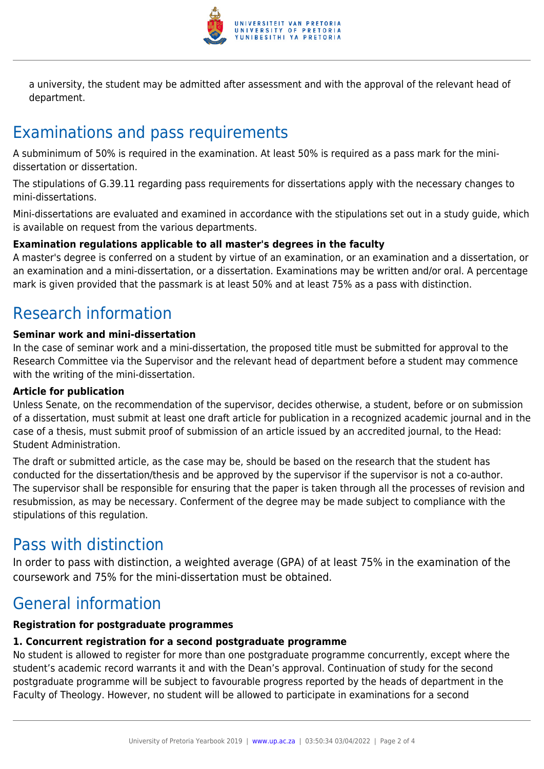

a university, the student may be admitted after assessment and with the approval of the relevant head of department.

## Examinations and pass requirements

A subminimum of 50% is required in the examination. At least 50% is required as a pass mark for the minidissertation or dissertation.

The stipulations of G.39.11 regarding pass requirements for dissertations apply with the necessary changes to mini-dissertations.

Mini-dissertations are evaluated and examined in accordance with the stipulations set out in a study guide, which is available on request from the various departments.

#### **Examination regulations applicable to all master's degrees in the faculty**

A master's degree is conferred on a student by virtue of an examination, or an examination and a dissertation, or an examination and a mini-dissertation, or a dissertation. Examinations may be written and/or oral. A percentage mark is given provided that the passmark is at least 50% and at least 75% as a pass with distinction.

### Research information

#### **Seminar work and mini-dissertation**

In the case of seminar work and a mini-dissertation, the proposed title must be submitted for approval to the Research Committee via the Supervisor and the relevant head of department before a student may commence with the writing of the mini-dissertation.

#### **Article for publication**

Unless Senate, on the recommendation of the supervisor, decides otherwise, a student, before or on submission of a dissertation, must submit at least one draft article for publication in a recognized academic journal and in the case of a thesis, must submit proof of submission of an article issued by an accredited journal, to the Head: Student Administration.

The draft or submitted article, as the case may be, should be based on the research that the student has conducted for the dissertation/thesis and be approved by the supervisor if the supervisor is not a co-author. The supervisor shall be responsible for ensuring that the paper is taken through all the processes of revision and resubmission, as may be necessary. Conferment of the degree may be made subject to compliance with the stipulations of this regulation.

### Pass with distinction

In order to pass with distinction, a weighted average (GPA) of at least 75% in the examination of the coursework and 75% for the mini-dissertation must be obtained.

### General information

### **Registration for postgraduate programmes**

### **1. Concurrent registration for a second postgraduate programme**

No student is allowed to register for more than one postgraduate programme concurrently, except where the student's academic record warrants it and with the Dean's approval. Continuation of study for the second postgraduate programme will be subject to favourable progress reported by the heads of department in the Faculty of Theology. However, no student will be allowed to participate in examinations for a second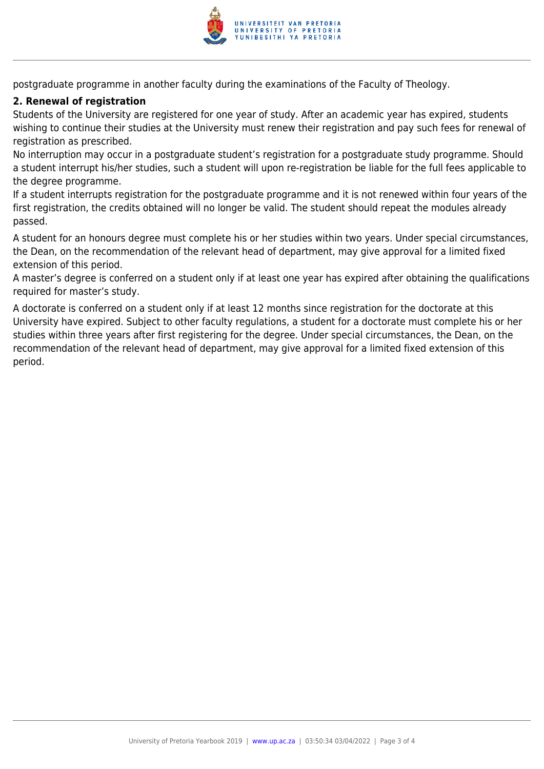

postgraduate programme in another faculty during the examinations of the Faculty of Theology.

#### **2. Renewal of registration**

Students of the University are registered for one year of study. After an academic year has expired, students wishing to continue their studies at the University must renew their registration and pay such fees for renewal of registration as prescribed.

No interruption may occur in a postgraduate student's registration for a postgraduate study programme. Should a student interrupt his/her studies, such a student will upon re-registration be liable for the full fees applicable to the degree programme.

If a student interrupts registration for the postgraduate programme and it is not renewed within four years of the first registration, the credits obtained will no longer be valid. The student should repeat the modules already passed.

A student for an honours degree must complete his or her studies within two years. Under special circumstances, the Dean, on the recommendation of the relevant head of department, may give approval for a limited fixed extension of this period.

A master's degree is conferred on a student only if at least one year has expired after obtaining the qualifications required for master's study.

A doctorate is conferred on a student only if at least 12 months since registration for the doctorate at this University have expired. Subject to other faculty regulations, a student for a doctorate must complete his or her studies within three years after first registering for the degree. Under special circumstances, the Dean, on the recommendation of the relevant head of department, may give approval for a limited fixed extension of this period.